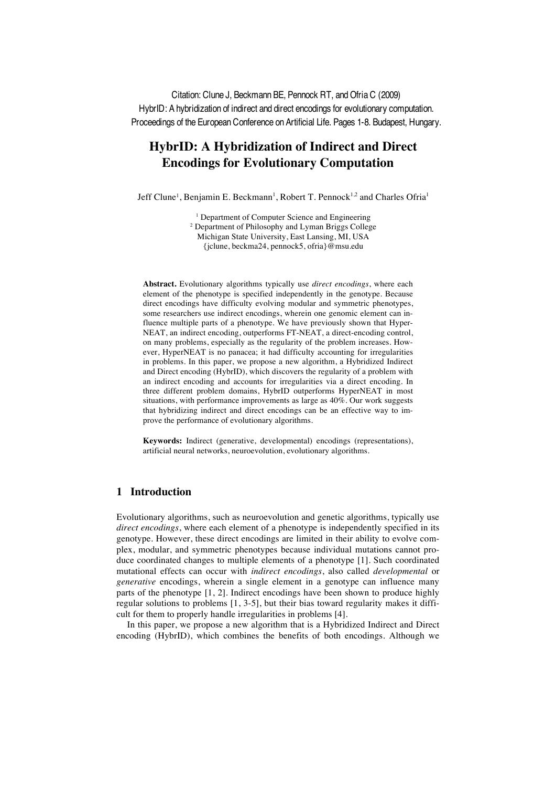Citation: Clune J, Beckmann BE, Pennock RT, and Ofria C (2009) HybrID: A hybridization of indirect and direct encodings for evolutionary computation. Proceedings of the European Conference on Artificial Life. Pages 1-8. Budapest, Hungary.

# **HybrID: A Hybridization of Indirect and Direct Encodings for Evolutionary Computation**

Jeff Clune<sup>1</sup>, Benjamin E. Beckmann<sup>1</sup>, Robert T. Pennock<sup>1,2</sup> and Charles Ofria<sup>1</sup>

<sup>1</sup> Department of Computer Science and Engineering

<sup>2</sup> Department of Philosophy and Lyman Briggs College

Michigan State University, East Lansing, MI, USA

{jclune, beckma24, pennock5, ofria}@msu.edu

**Abstract.** Evolutionary algorithms typically use *direct encodings*, where each element of the phenotype is specified independently in the genotype. Because direct encodings have difficulty evolving modular and symmetric phenotypes, some researchers use indirect encodings, wherein one genomic element can influence multiple parts of a phenotype. We have previously shown that Hyper-NEAT, an indirect encoding, outperforms FT-NEAT, a direct-encoding control, on many problems, especially as the regularity of the problem increases. However, HyperNEAT is no panacea; it had difficulty accounting for irregularities in problems. In this paper, we propose a new algorithm, a Hybridized Indirect and Direct encoding (HybrID), which discovers the regularity of a problem with an indirect encoding and accounts for irregularities via a direct encoding. In three different problem domains, HybrID outperforms HyperNEAT in most situations, with performance improvements as large as 40%. Our work suggests that hybridizing indirect and direct encodings can be an effective way to improve the performance of evolutionary algorithms.

**Keywords:** Indirect (generative, developmental) encodings (representations), artificial neural networks, neuroevolution, evolutionary algorithms.

# **1 Introduction**

Evolutionary algorithms, such as neuroevolution and genetic algorithms, typically use *direct encodings*, where each element of a phenotype is independently specified in its genotype. However, these direct encodings are limited in their ability to evolve complex, modular, and symmetric phenotypes because individual mutations cannot produce coordinated changes to multiple elements of a phenotype [1]. Such coordinated mutational effects can occur with *indirect encodings*, also called *developmental* or *generative* encodings, wherein a single element in a genotype can influence many parts of the phenotype [1, 2]. Indirect encodings have been shown to produce highly regular solutions to problems [1, 3-5], but their bias toward regularity makes it difficult for them to properly handle irregularities in problems [4].

In this paper, we propose a new algorithm that is a Hybridized Indirect and Direct encoding (HybrID), which combines the benefits of both encodings. Although we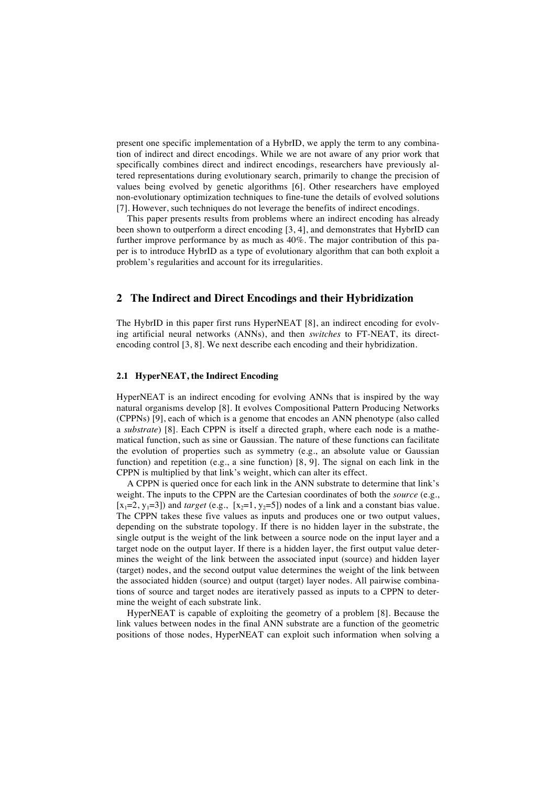present one specific implementation of a HybrID, we apply the term to any combination of indirect and direct encodings. While we are not aware of any prior work that specifically combines direct and indirect encodings, researchers have previously altered representations during evolutionary search, primarily to change the precision of values being evolved by genetic algorithms [6]. Other researchers have employed non-evolutionary optimization techniques to fine-tune the details of evolved solutions [7]. However, such techniques do not leverage the benefits of indirect encodings.

This paper presents results from problems where an indirect encoding has already been shown to outperform a direct encoding [3, 4], and demonstrates that HybrID can further improve performance by as much as 40%. The major contribution of this paper is to introduce HybrID as a type of evolutionary algorithm that can both exploit a problem's regularities and account for its irregularities.

# **2 The Indirect and Direct Encodings and their Hybridization**

The HybrID in this paper first runs HyperNEAT [8], an indirect encoding for evolving artificial neural networks (ANNs), and then *switches* to FT-NEAT, its directencoding control [3, 8]. We next describe each encoding and their hybridization.

## **2.1 HyperNEAT, the Indirect Encoding**

HyperNEAT is an indirect encoding for evolving ANNs that is inspired by the way natural organisms develop [8]. It evolves Compositional Pattern Producing Networks (CPPNs) [9], each of which is a genome that encodes an ANN phenotype (also called a *substrate*) [8]. Each CPPN is itself a directed graph, where each node is a mathematical function, such as sine or Gaussian. The nature of these functions can facilitate the evolution of properties such as symmetry (e.g., an absolute value or Gaussian function) and repetition (e.g., a sine function) [8, 9]. The signal on each link in the CPPN is multiplied by that link's weight, which can alter its effect.

A CPPN is queried once for each link in the ANN substrate to determine that link's weight. The inputs to the CPPN are the Cartesian coordinates of both the *source* (e.g.,  $[x_1=2, y_1=3]$ ) and *target* (e.g.,  $[x_2=1, y_2=5]$ ) nodes of a link and a constant bias value. The CPPN takes these five values as inputs and produces one or two output values, depending on the substrate topology. If there is no hidden layer in the substrate, the single output is the weight of the link between a source node on the input layer and a target node on the output layer. If there is a hidden layer, the first output value determines the weight of the link between the associated input (source) and hidden layer (target) nodes, and the second output value determines the weight of the link between the associated hidden (source) and output (target) layer nodes. All pairwise combinations of source and target nodes are iteratively passed as inputs to a CPPN to determine the weight of each substrate link.

HyperNEAT is capable of exploiting the geometry of a problem [8]. Because the link values between nodes in the final ANN substrate are a function of the geometric positions of those nodes, HyperNEAT can exploit such information when solving a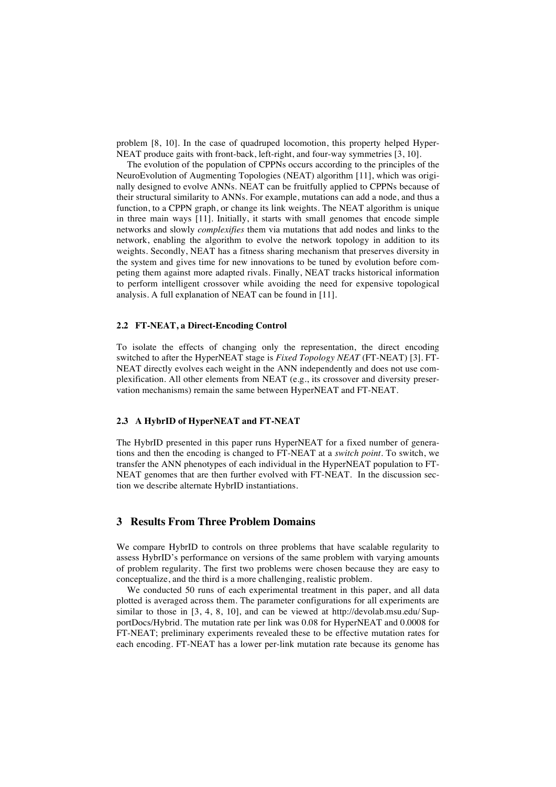problem [8, 10]. In the case of quadruped locomotion, this property helped Hyper-NEAT produce gaits with front-back, left-right, and four-way symmetries [3, 10].

The evolution of the population of CPPNs occurs according to the principles of the NeuroEvolution of Augmenting Topologies (NEAT) algorithm [11], which was originally designed to evolve ANNs. NEAT can be fruitfully applied to CPPNs because of their structural similarity to ANNs. For example, mutations can add a node, and thus a function, to a CPPN graph, or change its link weights. The NEAT algorithm is unique in three main ways [11]. Initially, it starts with small genomes that encode simple networks and slowly *complexifies* them via mutations that add nodes and links to the network, enabling the algorithm to evolve the network topology in addition to its weights. Secondly, NEAT has a fitness sharing mechanism that preserves diversity in the system and gives time for new innovations to be tuned by evolution before competing them against more adapted rivals. Finally, NEAT tracks historical information to perform intelligent crossover while avoiding the need for expensive topological analysis. A full explanation of NEAT can be found in [11].

#### **2.2 FT-NEAT, a Direct-Encoding Control**

To isolate the effects of changing only the representation, the direct encoding switched to after the HyperNEAT stage is *Fixed Topology NEAT* (FT-NEAT) [3]. FT-NEAT directly evolves each weight in the ANN independently and does not use complexification. All other elements from NEAT (e.g., its crossover and diversity preservation mechanisms) remain the same between HyperNEAT and FT-NEAT.

#### **2.3 A HybrID of HyperNEAT and FT-NEAT**

The HybrID presented in this paper runs HyperNEAT for a fixed number of generations and then the encoding is changed to FT-NEAT at a *switch point*. To switch, we transfer the ANN phenotypes of each individual in the HyperNEAT population to FT-NEAT genomes that are then further evolved with FT-NEAT. In the discussion section we describe alternate HybrID instantiations.

### **3 Results From Three Problem Domains**

We compare HybrID to controls on three problems that have scalable regularity to assess HybrID's performance on versions of the same problem with varying amounts of problem regularity. The first two problems were chosen because they are easy to conceptualize, and the third is a more challenging, realistic problem.

We conducted 50 runs of each experimental treatment in this paper, and all data plotted is averaged across them. The parameter configurations for all experiments are similar to those in [3, 4, 8, 10], and can be viewed at http://devolab.msu.edu/ SupportDocs/Hybrid. The mutation rate per link was 0.08 for HyperNEAT and 0.0008 for FT-NEAT; preliminary experiments revealed these to be effective mutation rates for each encoding. FT-NEAT has a lower per-link mutation rate because its genome has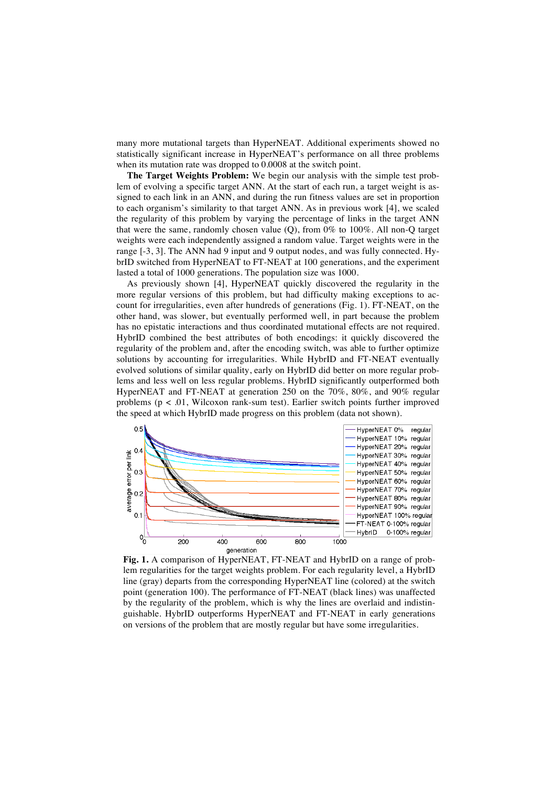many more mutational targets than HyperNEAT. Additional experiments showed no statistically significant increase in HyperNEAT's performance on all three problems when its mutation rate was dropped to 0.0008 at the switch point.

**The Target Weights Problem:** We begin our analysis with the simple test problem of evolving a specific target ANN. At the start of each run, a target weight is assigned to each link in an ANN, and during the run fitness values are set in proportion to each organism's similarity to that target ANN. As in previous work [4], we scaled the regularity of this problem by varying the percentage of links in the target ANN that were the same, randomly chosen value (Q), from 0% to 100%. All non-Q target weights were each independently assigned a random value. Target weights were in the range [-3, 3]. The ANN had 9 input and 9 output nodes, and was fully connected. HybrID switched from HyperNEAT to FT-NEAT at 100 generations, and the experiment lasted a total of 1000 generations. The population size was 1000.

As previously shown [4], HyperNEAT quickly discovered the regularity in the more regular versions of this problem, but had difficulty making exceptions to account for irregularities, even after hundreds of generations (Fig. 1). FT-NEAT, on the other hand, was slower, but eventually performed well, in part because the problem has no epistatic interactions and thus coordinated mutational effects are not required. HybrID combined the best attributes of both encodings: it quickly discovered the regularity of the problem and, after the encoding switch, was able to further optimize solutions by accounting for irregularities. While HybrID and FT-NEAT eventually evolved solutions of similar quality, early on HybrID did better on more regular problems and less well on less regular problems. HybrID significantly outperformed both HyperNEAT and FT-NEAT at generation 250 on the 70%, 80%, and 90% regular problems (p < .01, Wilcoxon rank-sum test). Earlier switch points further improved the speed at which HybrID made progress on this problem (data not shown).



**Fig. 1.** A comparison of HyperNEAT, FT-NEAT and HybrID on a range of problem regularities for the target weights problem. For each regularity level, a HybrID line (gray) departs from the corresponding HyperNEAT line (colored) at the switch point (generation 100). The performance of FT-NEAT (black lines) was unaffected by the regularity of the problem, which is why the lines are overlaid and indistinguishable. HybrID outperforms HyperNEAT and FT-NEAT in early generations on versions of the problem that are mostly regular but have some irregularities.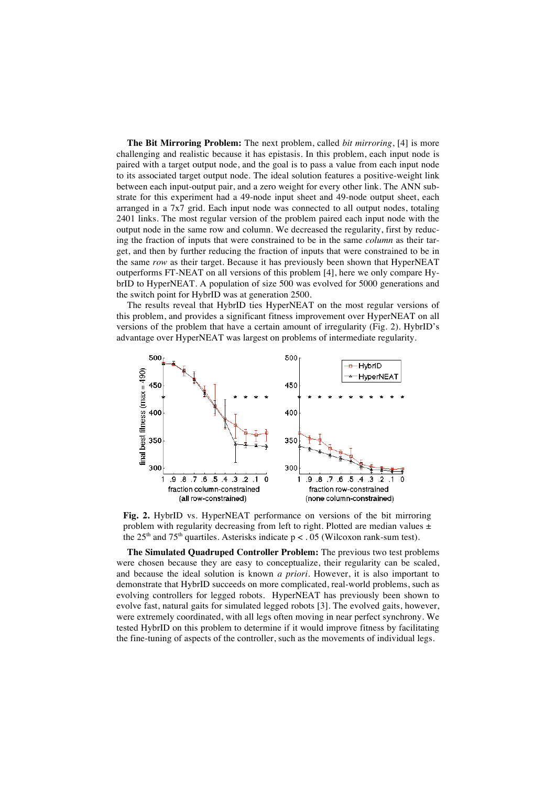**The Bit Mirroring Problem:** The next problem, called *bit mirroring*, [4] is more challenging and realistic because it has epistasis. In this problem, each input node is paired with a target output node, and the goal is to pass a value from each input node to its associated target output node. The ideal solution features a positive-weight link between each input-output pair, and a zero weight for every other link. The ANN substrate for this experiment had a 49-node input sheet and 49-node output sheet, each arranged in a 7x7 grid. Each input node was connected to all output nodes, totaling 2401 links. The most regular version of the problem paired each input node with the output node in the same row and column. We decreased the regularity, first by reducing the fraction of inputs that were constrained to be in the same *column* as their target, and then by further reducing the fraction of inputs that were constrained to be in the same *row* as their target. Because it has previously been shown that HyperNEAT outperforms FT-NEAT on all versions of this problem [4], here we only compare HybrID to HyperNEAT. A population of size 500 was evolved for 5000 generations and the switch point for HybrID was at generation 2500.

The results reveal that HybrID ties HyperNEAT on the most regular versions of this problem, and provides a significant fitness improvement over HyperNEAT on all versions of the problem that have a certain amount of irregularity (Fig. 2). HybrID's advantage over HyperNEAT was largest on problems of intermediate regularity.



**Fig. 2.** HybrID vs. HyperNEAT performance on versions of the bit mirroring problem with regularity decreasing from left to right. Plotted are median values  $\pm$ the  $25<sup>th</sup>$  and  $75<sup>th</sup>$  quartiles. Asterisks indicate p < . 05 (Wilcoxon rank-sum test).

**The Simulated Quadruped Controller Problem:** The previous two test problems were chosen because they are easy to conceptualize, their regularity can be scaled, and because the ideal solution is known *a priori*. However, it is also important to demonstrate that HybrID succeeds on more complicated, real-world problems, such as evolving controllers for legged robots. HyperNEAT has previously been shown to evolve fast, natural gaits for simulated legged robots [3]. The evolved gaits, however, were extremely coordinated, with all legs often moving in near perfect synchrony. We tested HybrID on this problem to determine if it would improve fitness by facilitating the fine-tuning of aspects of the controller, such as the movements of individual legs.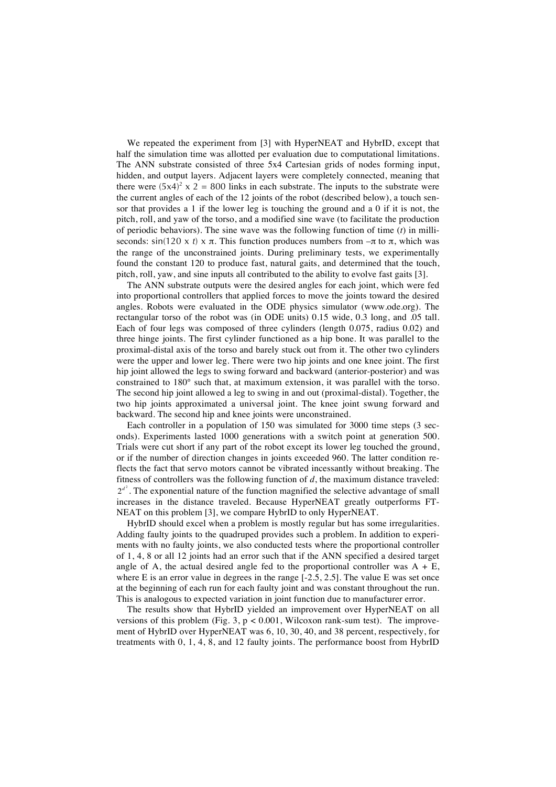We repeated the experiment from [3] with HyperNEAT and HybrID, except that half the simulation time was allotted per evaluation due to computational limitations. The ANN substrate consisted of three 5x4 Cartesian grids of nodes forming input, hidden, and output layers. Adjacent layers were completely connected, meaning that there were  $(5x4)^2$  x 2 = 800 links in each substrate. The inputs to the substrate were the current angles of each of the 12 joints of the robot (described below), a touch sensor that provides a 1 if the lower leg is touching the ground and a 0 if it is not, the pitch, roll, and yaw of the torso, and a modified sine wave (to facilitate the production of periodic behaviors). The sine wave was the following function of time (*t*) in milliseconds:  $sin(120 \times t) \times \pi$ . This function produces numbers from  $-\pi$  to  $\pi$ , which was the range of the unconstrained joints. During preliminary tests, we experimentally found the constant 120 to produce fast, natural gaits, and determined that the touch, pitch, roll, yaw, and sine inputs all contributed to the ability to evolve fast gaits [3].

The ANN substrate outputs were the desired angles for each joint, which were fed into proportional controllers that applied forces to move the joints toward the desired angles. Robots were evaluated in the ODE physics simulator (www.ode.org). The rectangular torso of the robot was (in ODE units) 0.15 wide, 0.3 long, and .05 tall. Each of four legs was composed of three cylinders (length 0.075, radius 0.02) and three hinge joints. The first cylinder functioned as a hip bone. It was parallel to the proximal-distal axis of the torso and barely stuck out from it. The other two cylinders were the upper and lower leg. There were two hip joints and one knee joint. The first hip joint allowed the legs to swing forward and backward (anterior-posterior) and was constrained to 180° such that, at maximum extension, it was parallel with the torso. The second hip joint allowed a leg to swing in and out (proximal-distal). Together, the two hip joints approximated a universal joint. The knee joint swung forward and backward. The second hip and knee joints were unconstrained.

Each controller in a population of 150 was simulated for 3000 time steps (3 seconds). Experiments lasted 1000 generations with a switch point at generation 500. Trials were cut short if any part of the robot except its lower leg touched the ground, or if the number of direction changes in joints exceeded 960. The latter condition reflects the fact that servo motors cannot be vibrated incessantly without breaking. The fitness of controllers was the following function of *d*, the maximum distance traveled:  $2^{d^2}$ . The exponential nature of the function magnified the selective advantage of small increases in the distance traveled. Because HyperNEAT greatly outperforms FT-NEAT on this problem [3], we compare HybrID to only HyperNEAT.

HybrID should excel when a problem is mostly regular but has some irregularities. Adding faulty joints to the quadruped provides such a problem. In addition to experiments with no faulty joints, we also conducted tests where the proportional controller of 1, 4, 8 or all 12 joints had an error such that if the ANN specified a desired target angle of A, the actual desired angle fed to the proportional controller was  $A + E$ , where E is an error value in degrees in the range  $[-2.5, 2.5]$ . The value E was set once at the beginning of each run for each faulty joint and was constant throughout the run. This is analogous to expected variation in joint function due to manufacturer error.

The results show that HybrID yielded an improvement over HyperNEAT on all versions of this problem (Fig. 3,  $p < 0.001$ , Wilcoxon rank-sum test). The improvement of HybrID over HyperNEAT was 6, 10, 30, 40, and 38 percent, respectively, for treatments with 0, 1, 4, 8, and 12 faulty joints. The performance boost from HybrID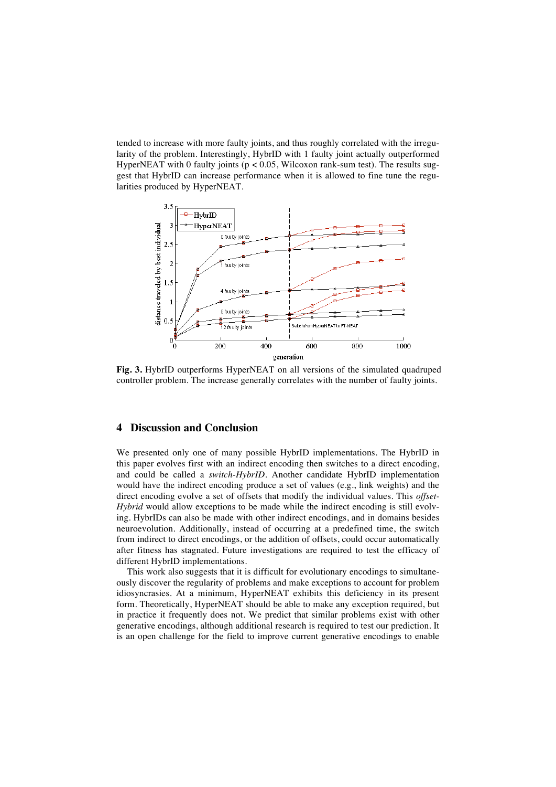tended to increase with more faulty joints, and thus roughly correlated with the irregularity of the problem. Interestingly, HybrID with 1 faulty joint actually outperformed HyperNEAT with 0 faulty joints ( $p < 0.05$ , Wilcoxon rank-sum test). The results suggest that HybrID can increase performance when it is allowed to fine tune the regularities produced by HyperNEAT.



**Fig. 3.** HybrID outperforms HyperNEAT on all versions of the simulated quadruped controller problem. The increase generally correlates with the number of faulty joints.

# **4 Discussion and Conclusion**

We presented only one of many possible HybrID implementations. The HybrID in this paper evolves first with an indirect encoding then switches to a direct encoding, and could be called a *switch-HybrID*. Another candidate HybrID implementation would have the indirect encoding produce a set of values (e.g., link weights) and the direct encoding evolve a set of offsets that modify the individual values. This *offset-Hybrid* would allow exceptions to be made while the indirect encoding is still evolving. HybrIDs can also be made with other indirect encodings, and in domains besides neuroevolution. Additionally, instead of occurring at a predefined time, the switch from indirect to direct encodings, or the addition of offsets, could occur automatically after fitness has stagnated. Future investigations are required to test the efficacy of different HybrID implementations.

This work also suggests that it is difficult for evolutionary encodings to simultaneously discover the regularity of problems and make exceptions to account for problem idiosyncrasies. At a minimum, HyperNEAT exhibits this deficiency in its present form. Theoretically, HyperNEAT should be able to make any exception required, but in practice it frequently does not. We predict that similar problems exist with other generative encodings, although additional research is required to test our prediction. It is an open challenge for the field to improve current generative encodings to enable